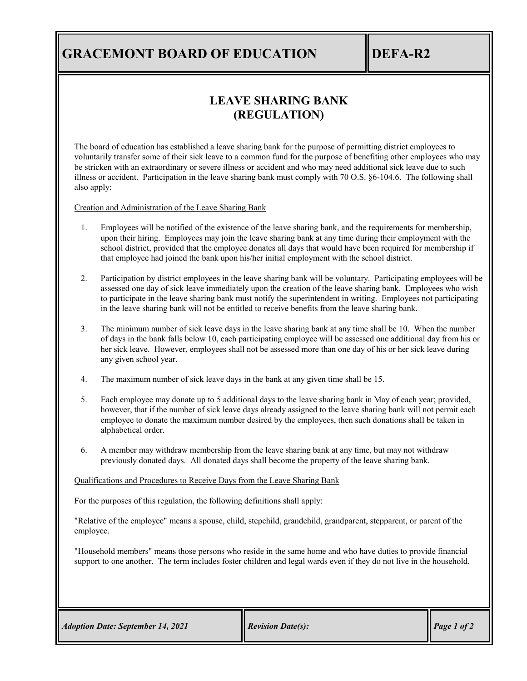## **GRACEMONT BOARD OF EDUCATION IDEFA-R2**

### **LEAVE SHARING BANK (REGULATION)**

The board of education has established a leave sharing bank for the purpose of permitting district employees to voluntarily transfer some of their sick leave to a common fund for the purpose of benefiting other employees who may be stricken with an extraordinary or severe illness or accident and who may need additional sick leave due to such illness or accident. Participation in the leave sharing bank must comply with 70 O.S. §6-104.6. The following shall also apply:

Creation and Administration of the Leave Sharing Bank

- 1. Employees will be notified of the existence of the leave sharing bank, and the requirements for membership, upon their hiring. Employees may join the leave sharing bank at any time during their employment with the school district, provided that the employee donates all days that would have been required for membership if that employee had joined the bank upon his/her initial employment with the school district.
- 2. Participation by district employees in the leave sharing bank will be voluntary. Participating employees will be assessed one day of sick leave immediately upon the creation of the leave sharing bank. Employees who wish to participate in the leave sharing bank must notify the superintendent in writing. Employees not participating in the leave sharing bank will not be entitled to receive benefits from the leave sharing bank.
- 3. The minimum number of sick leave days in the leave sharing bank at any time shall be 10. When the number of days in the bank falls below 10, each participating employee will be assessed one additional day from his or her sick leave. However, employees shall not be assessed more than one day of his or her sick leave during any given school year.
- 4. The maximum number of sick leave days in the bank at any given time shall be 15.
- 5. Each employee may donate up to 5 additional days to the leave sharing bank in May of each year; provided, however, that if the number of sick leave days already assigned to the leave sharing bank will not permit each employee to donate the maximum number desired by the employees, then such donations shall be taken in alphabetical order.
- 6. A member may withdraw membership from the leave sharing bank at any time, but may not withdraw previously donated days. All donated days shall become the property of the leave sharing bank.

#### Qualifications and Procedures to Receive Days from the Leave Sharing Bank

For the purposes of this regulation, the following definitions shall apply:

"Relative of the employee" means a spouse, child, stepchild, grandchild, grandparent, stepparent, or parent of the employee.

"Household members" means those persons who reside in the same home and who have duties to provide financial support to one another. The term includes foster children and legal wards even if they do not live in the household.